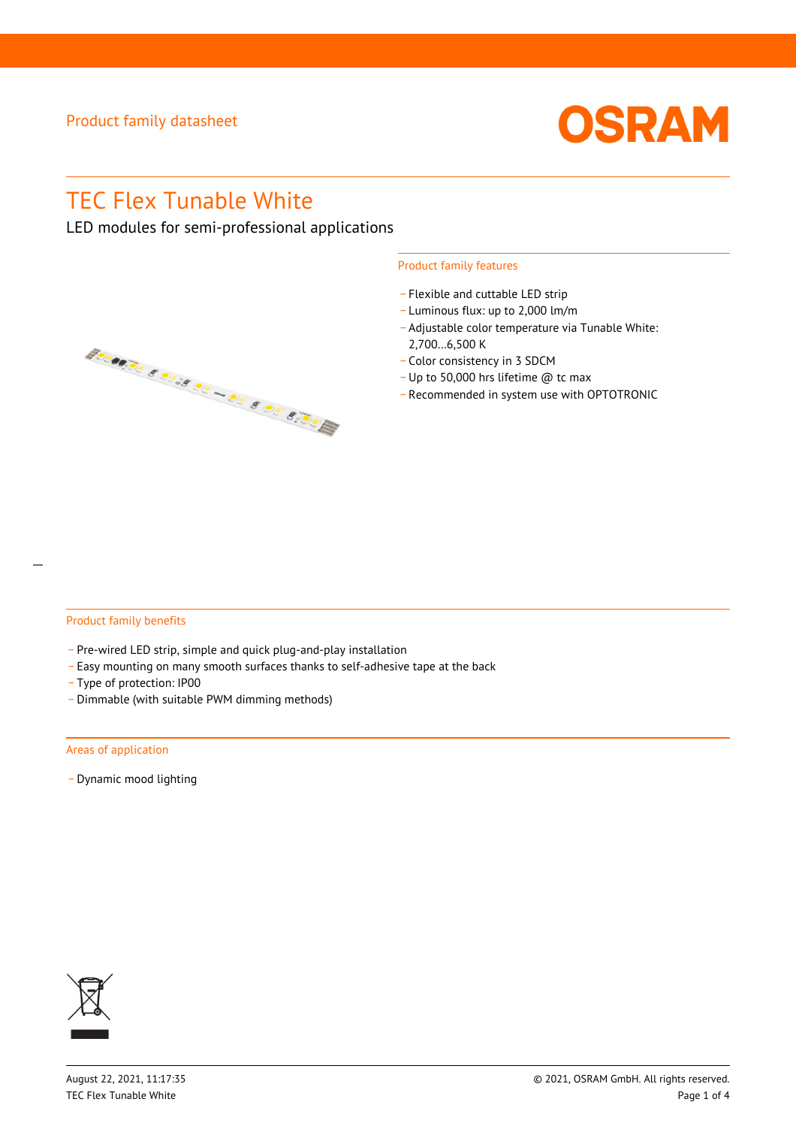

# TEC Flex Tunable White

LED modules for semi-professional applications



#### Product family features

- Flexible and cuttable LED strip
- \_ Luminous flux: up to 2,000 lm/m
- \_ Adjustable color temperature via Tunable White: 2,700…6,500 K
- \_ Color consistency in 3 SDCM
- \_ Up to 50,000 hrs lifetime @ tc max
- \_ Recommended in system use with OPTOTRONIC

#### Product family benefits

- Pre-wired LED strip, simple and quick plug-and-play installation
- \_ Easy mounting on many smooth surfaces thanks to self-adhesive tape at the back
- \_ Type of protection: IP00
- \_ Dimmable (with suitable PWM dimming methods)

#### Areas of application

- Dynamic mood lighting

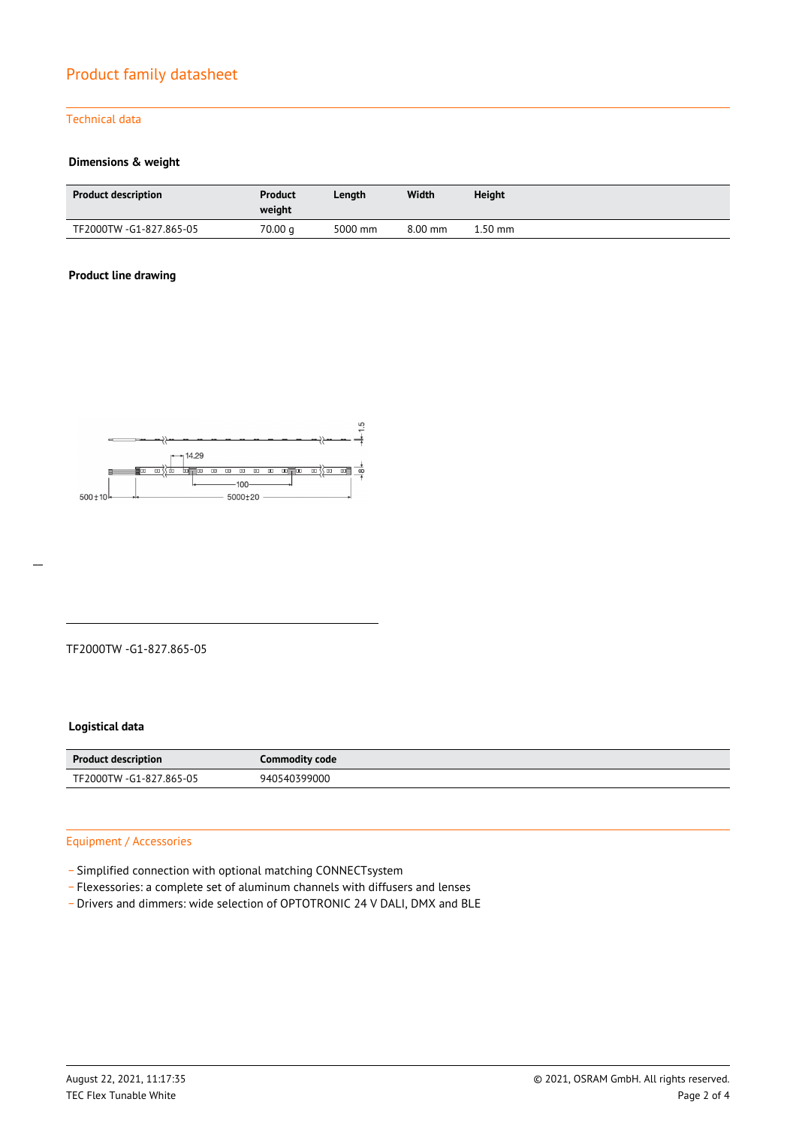#### Technical data

#### **Dimensions & weight**

| <b>Product description</b> | Product<br>weight | Length  | Width     | Height  |
|----------------------------|-------------------|---------|-----------|---------|
| TF2000TW -G1-827.865-05    | 70.00 g           | 5000 mm | $8.00$ mm | 1.50 mm |

#### **Product line drawing**



#### TF2000TW -G1-827.865-05

#### **Logistical data**

| <b>Product description</b> | Commodity code |
|----------------------------|----------------|
| TF2000TW -G1-827.865-05    | 940540399000   |

#### Equipment / Accessories

- \_ Simplified connection with optional matching CONNECTsystem
- \_ Flexessories: a complete set of aluminum channels with diffusers and lenses
- Drivers and dimmers: wide selection of OPTOTRONIC 24 V DALI, DMX and BLE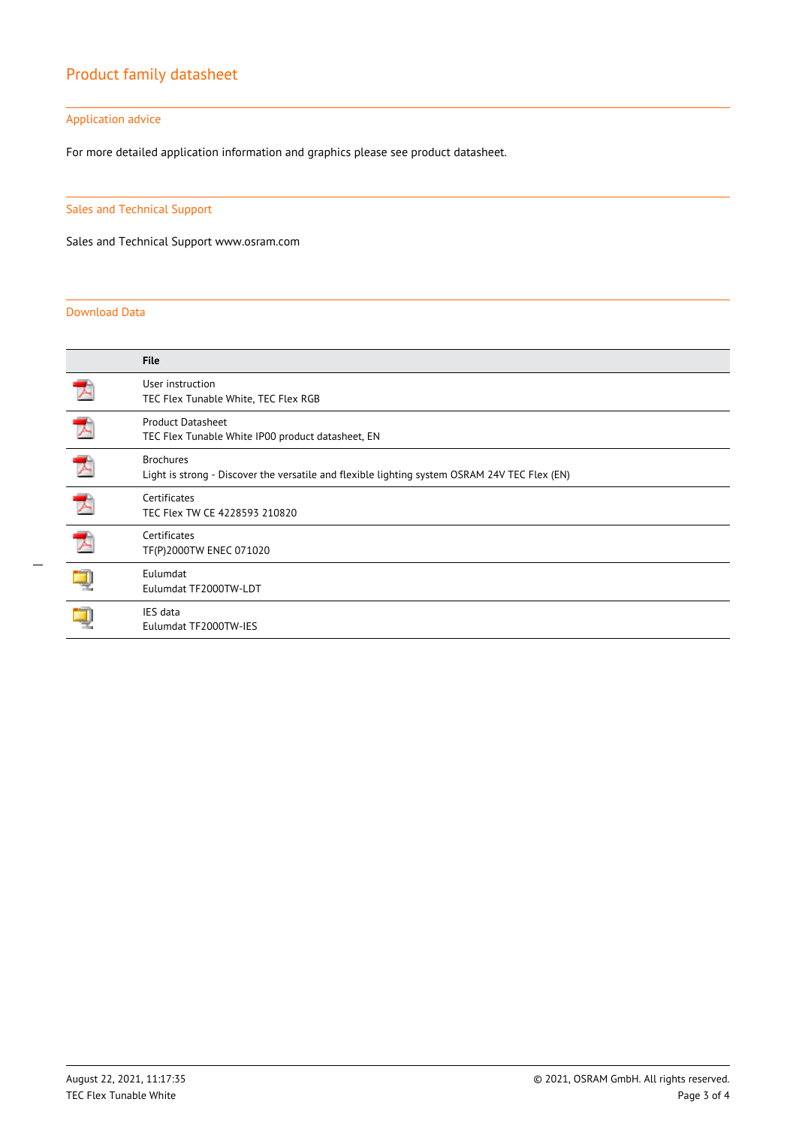#### Application advice

For more detailed application information and graphics please see product datasheet.

#### Sales and Technical Support

Sales and Technical Support www.osram.com

#### Download Data

|   | <b>File</b>                                                                                                       |
|---|-------------------------------------------------------------------------------------------------------------------|
|   | User instruction<br>TEC Flex Tunable White, TEC Flex RGB                                                          |
|   | <b>Product Datasheet</b><br>TEC Flex Tunable White IP00 product datasheet, EN                                     |
|   | <b>Brochures</b><br>Light is strong - Discover the versatile and flexible lighting system OSRAM 24V TEC Flex (EN) |
|   | Certificates<br>TEC Flex TW CE 4228593 210820                                                                     |
| ᄀ | Certificates<br>TF(P)2000TW ENEC 071020                                                                           |
|   | Eulumdat<br>Eulumdat TF2000TW-LDT                                                                                 |
|   | IES data<br>Eulumdat TF2000TW-IES                                                                                 |

 $\overline{a}$